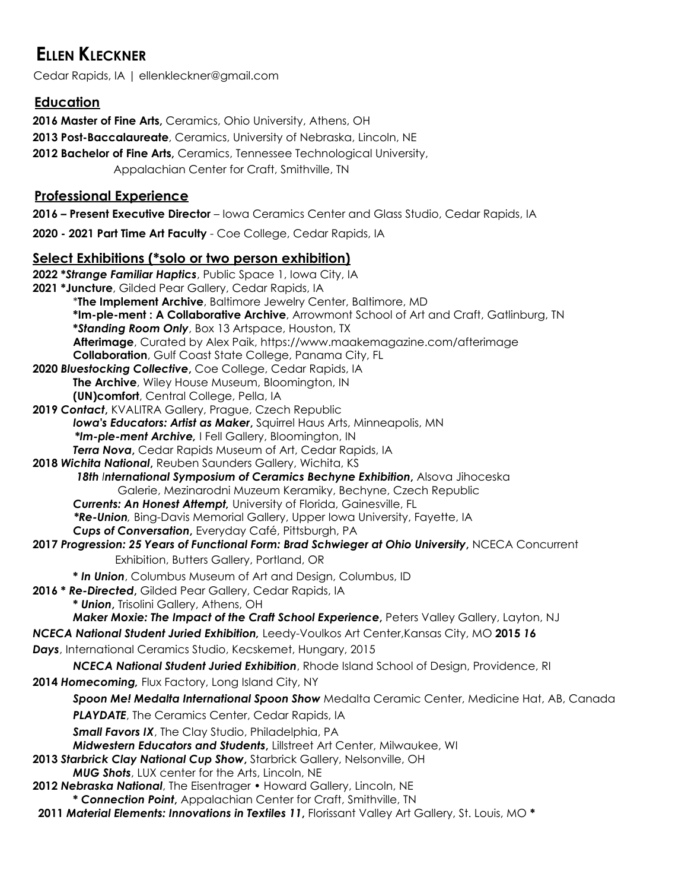# **ELLEN KLECKNER**

Cedar Rapids, IA | ellenkleckner@gmail.com

# **Education**

 **Master of Fine Arts,** Ceramics, Ohio University, Athens, OH **Post-Baccalaureate**, Ceramics, University of Nebraska, Lincoln, NE **Bachelor of Fine Arts,** Ceramics, Tennessee Technological University, Appalachian Center for Craft, Smithville, TN

# **Professional Experience**

**2016 – Present Executive Director** – Iowa Ceramics Center and Glass Studio, Cedar Rapids, IA

**2020 - 2021 Part Time Art Faculty** - Coe College, Cedar Rapids, IA

## **Select Exhibitions (\*solo or two person exhibition)**

| 2022 *Strange Familiar Haptics, Public Space 1, Iowa City, IA                                                                    |
|----------------------------------------------------------------------------------------------------------------------------------|
| 2021 *Juncture, Gilded Pear Gallery, Cedar Rapids, IA                                                                            |
| *The Implement Archive, Baltimore Jewelry Center, Baltimore, MD                                                                  |
| *Im-ple-ment: A Collaborative Archive, Arrowmont School of Art and Craft, Gatlinburg, TN                                         |
| *Standing Room Only, Box 13 Artspace, Houston, TX                                                                                |
| Afterimage, Curated by Alex Paik, https://www.maakemagazine.com/afterimage                                                       |
| <b>Collaboration</b> , Gulf Coast State College, Panama City, FL                                                                 |
| 2020 Bluestocking Collective, Coe College, Cedar Rapids, IA                                                                      |
| The Archive, Wiley House Museum, Bloomington, IN                                                                                 |
| (UN)comfort, Central College, Pella, IA                                                                                          |
| 2019 Contact, KVALITRA Gallery, Prague, Czech Republic<br>Iowa's Educators: Artist as Maker, Squirrel Haus Arts, Minneapolis, MN |
| *Im-ple-ment Archive, I Fell Gallery, Bloomington, IN                                                                            |
| Terra Nova, Cedar Rapids Museum of Art, Cedar Rapids, IA                                                                         |
| 2018 Wichita National, Reuben Saunders Gallery, Wichita, KS                                                                      |
| 18th International Symposium of Ceramics Bechyne Exhibition, Alsova Jihoceska                                                    |
| Galerie, Mezinarodni Muzeum Keramiky, Bechyne, Czech Republic                                                                    |
| Currents: An Honest Attempt, University of Florida, Gainesville, FL                                                              |
| *Re-Union, Bing-Davis Memorial Gallery, Upper Iowa University, Fayette, IA                                                       |
| Cups of Conversation, Everyday Café, Pittsburgh, PA                                                                              |
| 2017 Progression: 25 Years of Functional Form: Brad Schwieger at Ohio University, NCECA Concurrent                               |
| Exhibition, Butters Gallery, Portland, OR                                                                                        |
| * In Union, Columbus Museum of Art and Design, Columbus, ID                                                                      |
| 2016 * Re-Directed, Gilded Pear Gallery, Cedar Rapids, IA                                                                        |
| * Union, Trisolini Gallery, Athens, OH                                                                                           |
| Maker Moxie: The Impact of the Craft School Experience, Peters Valley Gallery, Layton, NJ                                        |
| NCECA National Student Juried Exhibition, Leedy-Voulkos Art Center, Kansas City, MO 2015 16                                      |
| Days, International Ceramics Studio, Kecskemet, Hungary, 2015                                                                    |
| NCECA National Student Juried Exhibition, Rhode Island School of Design, Providence, RI                                          |
| 2014 Homecoming, Flux Factory, Long Island City, NY                                                                              |
| Spoon Me! Medalta International Spoon Show Medalta Ceramic Center, Medicine Hat, AB, Canada                                      |
| <b>PLAYDATE</b> , The Ceramics Center, Cedar Rapids, IA                                                                          |
| <b>Small Favors IX</b> , The Clay Studio, Philadelphia, PA                                                                       |
| Midwestern Educators and Students, Lillstreet Art Center, Milwaukee, WI                                                          |
| 2013 Starbrick Clay National Cup Show, Starbrick Gallery, Nelsonville, OH                                                        |
| MUG Shots, LUX center for the Arts, Lincoln, NE                                                                                  |
| 2012 Nebraska National, The Eisentrager . Howard Gallery, Lincoln, NE                                                            |
| * Connection Point, Appalachian Center for Craft, Smithville, TN                                                                 |
| 2011 Material Elements: Innovations in Textiles 11, Florissant Valley Art Gallery, St. Louis, MO *                               |